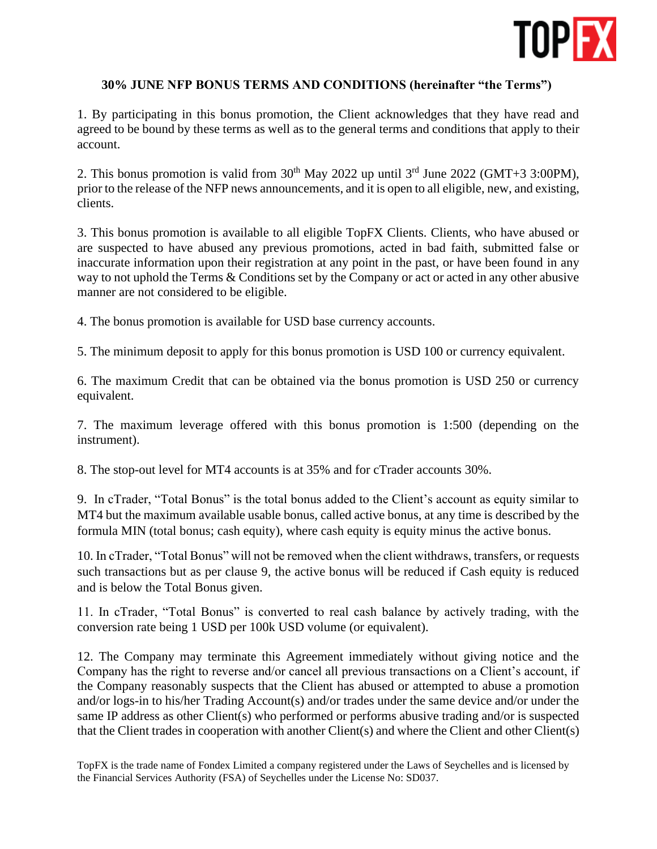

## **30% JUNE NFP BONUS TERMS AND CONDITIONS (hereinafter "the Terms")**

1. By participating in this bonus promotion, the Client acknowledges that they have read and agreed to be bound by these terms as well as to the general terms and conditions that apply to their account.

2. This bonus promotion is valid from  $30<sup>th</sup>$  May 2022 up until  $3<sup>rd</sup>$  June 2022 (GMT+3 3:00PM), prior to the release of the NFP news announcements, and it is open to all eligible, new, and existing, clients.

3. This bonus promotion is available to all eligible TopFX Clients. Clients, who have abused or are suspected to have abused any previous promotions, acted in bad faith, submitted false or inaccurate information upon their registration at any point in the past, or have been found in any way to not uphold the Terms & Conditions set by the Company or act or acted in any other abusive manner are not considered to be eligible.

4. The bonus promotion is available for USD base currency accounts.

5. The minimum deposit to apply for this bonus promotion is USD 100 or currency equivalent.

6. The maximum Credit that can be obtained via the bonus promotion is USD 250 or currency equivalent.

7. The maximum leverage offered with this bonus promotion is 1:500 (depending on the instrument).

8. The stop-out level for MT4 accounts is at 35% and for cTrader accounts 30%.

9. In cTrader, "Total Bonus" is the total bonus added to the Client's account as equity similar to MT4 but the maximum available usable bonus, called active bonus, at any time is described by the formula MIN (total bonus; cash equity), where cash equity is equity minus the active bonus.

10. In cTrader, "Total Bonus" will not be removed when the client withdraws, transfers, or requests such transactions but as per clause 9, the active bonus will be reduced if Cash equity is reduced and is below the Total Bonus given.

11. In cTrader, "Total Bonus" is converted to real cash balance by actively trading, with the conversion rate being 1 USD per 100k USD volume (or equivalent).

12. The Company may terminate this Agreement immediately without giving notice and the Company has the right to reverse and/or cancel all previous transactions on a Client's account, if the Company reasonably suspects that the Client has abused or attempted to abuse a promotion and/or logs-in to his/her Trading Account(s) and/or trades under the same device and/or under the same IP address as other Client(s) who performed or performs abusive trading and/or is suspected that the Client trades in cooperation with another Client(s) and where the Client and other Client(s)

TopFX is the trade name of Fondex Limited a company registered under the Laws of Seychelles and is licensed by the Financial Services Authority (FSA) of Seychelles under the License No: SD037.